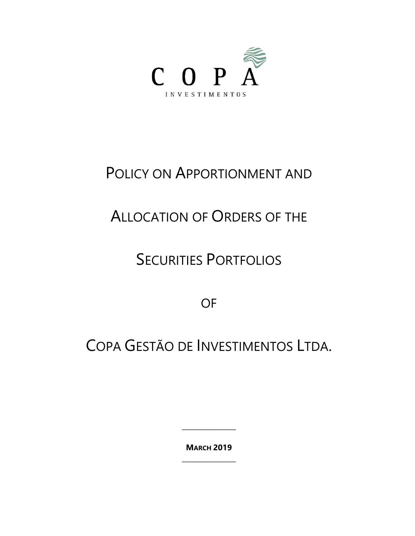

## POLICY ON APPORTIONMENT AND

# ALLOCATION OF ORDERS OF THE

## SECURITIES PORTFOLIOS

OF

COPA GESTÃO DE INVESTIMENTOS LTDA.

**MARCH 2019 \_\_\_\_\_\_\_\_\_\_\_\_\_\_\_\_**

**\_\_\_\_\_\_\_\_\_\_\_\_\_\_\_\_**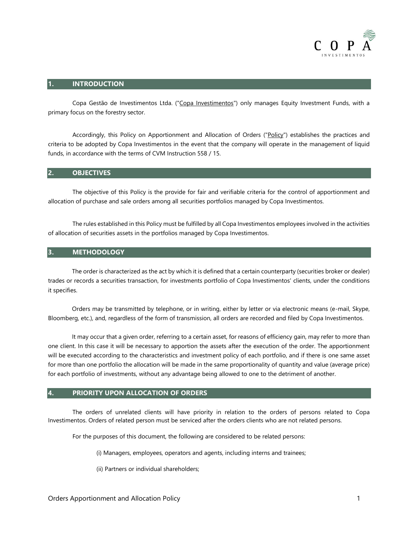

#### **1. INTRODUCTION**

Copa Gestão de Investimentos Ltda. ("Copa Investimentos") only manages Equity Investment Funds, with a primary focus on the forestry sector.

Accordingly, this Policy on Apportionment and Allocation of Orders ("Policy") establishes the practices and criteria to be adopted by Copa Investimentos in the event that the company will operate in the management of liquid funds, in accordance with the terms of CVM Instruction 558 / 15.

### **2. OBJECTIVES**

The objective of this Policy is the provide for fair and verifiable criteria for the control of apportionment and allocation of purchase and sale orders among all securities portfolios managed by Copa Investimentos.

The rules established in this Policy must be fulfilled by all Copa Investimentos employees involved in the activities of allocation of securities assets in the portfolios managed by Copa Investimentos.

#### **3. METHODOLOGY**

The order is characterized as the act by which it is defined that a certain counterparty (securities broker or dealer) trades or records a securities transaction, for investments portfolio of Copa Investimentos' clients, under the conditions it specifies.

Orders may be transmitted by telephone, or in writing, either by letter or via electronic means (e-mail, Skype, Bloomberg, etc.), and, regardless of the form of transmission, all orders are recorded and filed by Copa Investimentos.

It may occur that a given order, referring to a certain asset, for reasons of efficiency gain, may refer to more than one client. In this case it will be necessary to apportion the assets after the execution of the order. The apportionment will be executed according to the characteristics and investment policy of each portfolio, and if there is one same asset for more than one portfolio the allocation will be made in the same proportionality of quantity and value (average price) for each portfolio of investments, without any advantage being allowed to one to the detriment of another.

### **4. PRIORITY UPON ALLOCATION OF ORDERS**

The orders of unrelated clients will have priority in relation to the orders of persons related to Copa Investimentos. Orders of related person must be serviced after the orders clients who are not related persons.

For the purposes of this document, the following are considered to be related persons:

- (i) Managers, employees, operators and agents, including interns and trainees;
- (ii) Partners or individual shareholders;